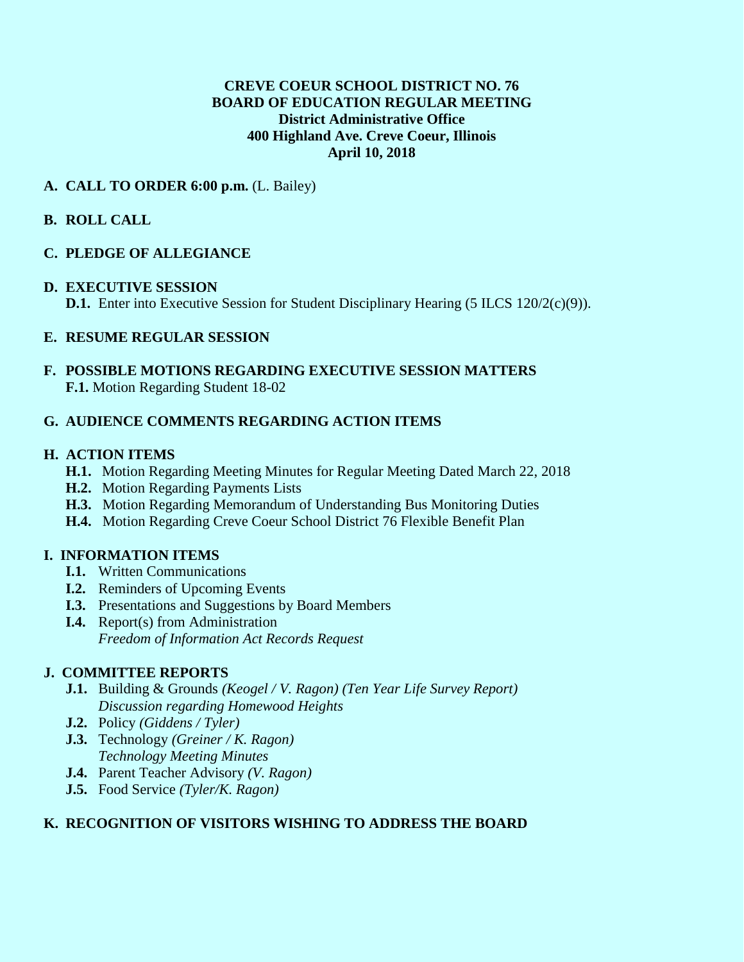### **CREVE COEUR SCHOOL DISTRICT NO. 76 BOARD OF EDUCATION REGULAR MEETING District Administrative Office 400 Highland Ave. Creve Coeur, Illinois April 10, 2018**

### **A. CALL TO ORDER 6:00 p.m.** (L. Bailey)

# **B. ROLL CALL**

# **C. PLEDGE OF ALLEGIANCE**

### **D. EXECUTIVE SESSION**

**D.1.** Enter into Executive Session for Student Disciplinary Hearing (5 ILCS 120/2(c)(9)).

# **E. RESUME REGULAR SESSION**

### **F. POSSIBLE MOTIONS REGARDING EXECUTIVE SESSION MATTERS F.1.** Motion Regarding Student 18-02

# **G. AUDIENCE COMMENTS REGARDING ACTION ITEMS**

### **H. ACTION ITEMS**

- **H.1.** Motion Regarding Meeting Minutes for Regular Meeting Dated March 22, 2018
- **H.2.** Motion Regarding Payments Lists
- **H.3.** Motion Regarding Memorandum of Understanding Bus Monitoring Duties
- **H.4.** Motion Regarding Creve Coeur School District 76 Flexible Benefit Plan

### **I. INFORMATION ITEMS**

- **I.1.** Written Communications
- **I.2.** Reminders of Upcoming Events
- **I.3.** Presentations and Suggestions by Board Members
- **I.4.** Report(s) from Administration *Freedom of Information Act Records Request*

### **J. COMMITTEE REPORTS**

- **J.1.** Building & Grounds *(Keogel / V. Ragon) (Ten Year Life Survey Report) Discussion regarding Homewood Heights*
- **J.2.** Policy *(Giddens / Tyler)*
- **J.3.** Technology *(Greiner / K. Ragon) Technology Meeting Minutes*
- **J.4.** Parent Teacher Advisory *(V. Ragon)*
- **J.5.** Food Service *(Tyler/K. Ragon)*

### **K. RECOGNITION OF VISITORS WISHING TO ADDRESS THE BOARD**